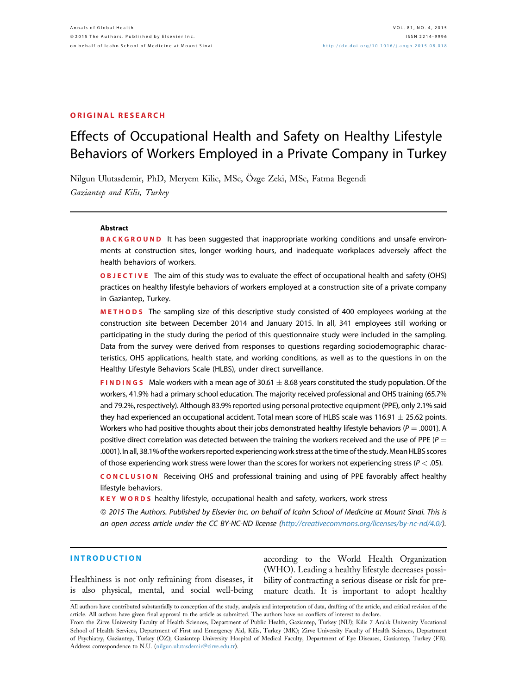### ORIGINAL RESEARCH

# Effects of Occupational Health and Safety on Healthy Lifestyle Behaviors of Workers Employed in a Private Company in Turkey

Nilgun Ulutasdemir, PhD, Meryem Kilic, MSc, Özge Zeki, MSc, Fatma Begendi Gaziantep and Kilis, Turkey

#### Abstract

BACKGROUND It has been suggested that inappropriate working conditions and unsafe environments at construction sites, longer working hours, and inadequate workplaces adversely affect the health behaviors of workers.

OBJECTIVE The aim of this study was to evaluate the effect of occupational health and safety (OHS) practices on healthy lifestyle behaviors of workers employed at a construction site of a private company in Gaziantep, Turkey.

METHODS The sampling size of this descriptive study consisted of 400 employees working at the construction site between December 2014 and January 2015. In all, 341 employees still working or participating in the study during the period of this questionnaire study were included in the sampling. Data from the survey were derived from responses to questions regarding sociodemographic characteristics, OHS applications, health state, and working conditions, as well as to the questions in on the Healthy Lifestyle Behaviors Scale (HLBS), under direct surveillance.

**FINDINGS** Male workers with a mean age of 30.61  $\pm$  8.68 years constituted the study population. Of the workers, 41.9% had a primary school education. The majority received professional and OHS training (65.7% and 79.2%, respectively). Although 83.9% reported using personal protective equipment (PPE), only 2.1% said they had experienced an occupational accident. Total mean score of HLBS scale was 116.91  $\pm$  25.62 points. Workers who had positive thoughts about their jobs demonstrated healthy lifestyle behaviors ( $P = .0001$ ). A positive direct correlation was detected between the training the workers received and the use of PPE ( $P =$ .0001). In all, 38.1% of the workers reported experiencing work stress at the time of the study. Mean HLBS scores of those experiencing work stress were lower than the scores for workers not experiencing stress ( $P < .05$ ).

CONCLUSION Receiving OHS and professional training and using of PPE favorably affect healthy lifestyle behaviors.

KEY WORDS healthy lifestyle, occupational health and safety, workers, work stress

ª 2015 The Authors. Published by Elsevier Inc. on behalf of Icahn School of Medicine at Mount Sinai. This is an open access article under the CC BY-NC-ND license [\(http://creativecommons.org/licenses/by-nc-nd/4.0/\)](http://creativecommons.org/licenses/by-nc-nd/4.�0/).

# INTRODUCTION

Healthiness is not only refraining from diseases, it is also physical, mental, and social well-being

according to the World Health Organization (WHO). Leading a healthy lifestyle decreases possibility of contracting a serious disease or risk for premature death. It is important to adopt healthy

All authors have contributed substantially to conception of the study, analysis and interpretation of data, drafting of the article, and critical revision of the article. All authors have given final approval to the article as submitted. The authors have no conflicts of interest to declare.

From the Zirve University Faculty of Health Sciences, Department of Public Health, Gaziantep, Turkey (NU); Kilis 7 Aralık University Vocational School of Health Services, Department of First and Emergency Aid, Kilis, Turkey (MK); Zirve University Faculty of Health Sciences, Department of Psychiatry, Gaziantep, Turkey (ÖZ); Gaziantep University Hospital of Medical Faculty, Department of Eye Diseases, Gaziantep, Turkey (FB). Address correspondence to N.U. [\(nilgun.ulutasdemir@zirve.edu.tr\)](mailto:nilgun.ulutasdemir@zirve.edu.tr).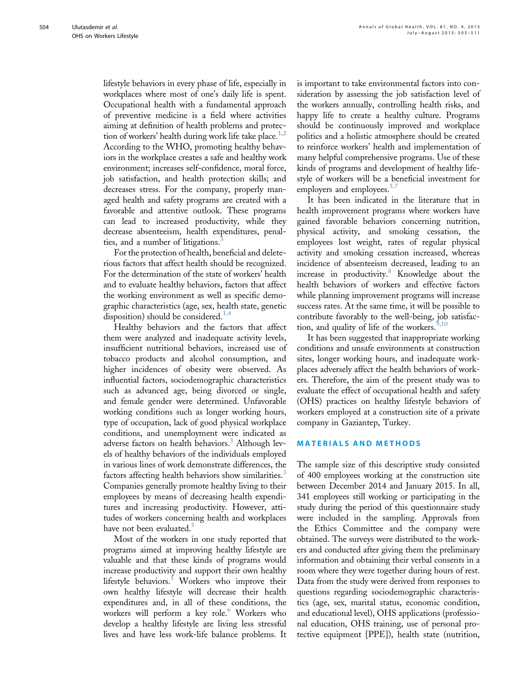lifestyle behaviors in every phase of life, especially in workplaces where most of one's daily life is spent. Occupational health with a fundamental approach of preventive medicine is a field where activities aiming at definition of health problems and protec-tion of workers' health during work life take place.<sup>[1,2](#page-7-0)</sup> According to the WHO, promoting healthy behaviors in the workplace creates a safe and healthy work environment; increases self-confidence, moral force, job satisfaction, and health protection skills; and decreases stress. For the company, properly managed health and safety programs are created with a favorable and attentive outlook. These programs can lead to increased productivity, while they decrease absenteeism, health expenditures, penalties, and a number of litigations.

For the protection of health, beneficial and deleterious factors that affect health should be recognized. For the determination of the state of workers' health and to evaluate healthy behaviors, factors that affect the working environment as well as specific demographic characteristics (age, sex, health state, genetic disposition) should be considered.<sup>[1,4](#page-7-0)</sup>

Healthy behaviors and the factors that affect them were analyzed and inadequate activity levels, insufficient nutritional behaviors, increased use of tobacco products and alcohol consumption, and higher incidences of obesity were observed. As influential factors, sociodemographic characteristics such as advanced age, being divorced or single, and female gender were determined. Unfavorable working conditions such as longer working hours, type of occupation, lack of good physical workplace conditions, and unemployment were indicated as adverse factors on health behaviors.<sup>[3](#page-7-0)</sup> Although levels of healthy behaviors of the individuals employed in various lines of work demonstrate differences, the factors affecting health behaviors show similarities.<sup>[3](#page-7-0)</sup> Companies generally promote healthy living to their employees by means of decreasing health expenditures and increasing productivity. However, attitudes of workers concerning health and workplaces have not been evaluated.<sup>[5](#page-7-0)</sup>

Most of the workers in one study reported that programs aimed at improving healthy lifestyle are valuable and that these kinds of programs would increase productivity and support their own healthy lifestyle behaviors.<sup>[5](#page-7-0)</sup> Workers who improve their own healthy lifestyle will decrease their health expenditures and, in all of these conditions, the workers will perform a key role.<sup>[6](#page-7-0)</sup> Workers who develop a healthy lifestyle are living less stressful lives and have less work-life balance problems. It

is important to take environmental factors into consideration by assessing the job satisfaction level of the workers annually, controlling health risks, and happy life to create a healthy culture. Programs should be continuously improved and workplace politics and a holistic atmosphere should be created to reinforce workers' health and implementation of many helpful comprehensive programs. Use of these kinds of programs and development of healthy lifestyle of workers will be a beneficial investment for employers and employees.<sup>[5,7](#page-7-0)</sup>

It has been indicated in the literature that in health improvement programs where workers have gained favorable behaviors concerning nutrition, physical activity, and smoking cessation, the employees lost weight, rates of regular physical activity and smoking cessation increased, whereas incidence of absenteeism decreased, leading to an increase in productivity.<sup>[8](#page-7-0)</sup> Knowledge about the health behaviors of workers and effective factors while planning improvement programs will increase success rates. At the same time, it will be possible to contribute favorably to the well-being, job satisfaction, and quality of life of the workers. $9,10$ 

It has been suggested that inappropriate working conditions and unsafe environments at construction sites, longer working hours, and inadequate workplaces adversely affect the health behaviors of workers. Therefore, the aim of the present study was to evaluate the effect of occupational health and safety (OHS) practices on healthy lifestyle behaviors of workers employed at a construction site of a private company in Gaziantep, Turkey.

# MATERIALS AND METHODS

The sample size of this descriptive study consisted of 400 employees working at the construction site between December 2014 and January 2015. In all, 341 employees still working or participating in the study during the period of this questionnaire study were included in the sampling. Approvals from the Ethics Committee and the company were obtained. The surveys were distributed to the workers and conducted after giving them the preliminary information and obtaining their verbal consents in a room where they were together during hours of rest. Data from the study were derived from responses to questions regarding sociodemographic characteristics (age, sex, marital status, economic condition, and educational level), OHS applications (professional education, OHS training, use of personal protective equipment [PPE]), health state (nutrition,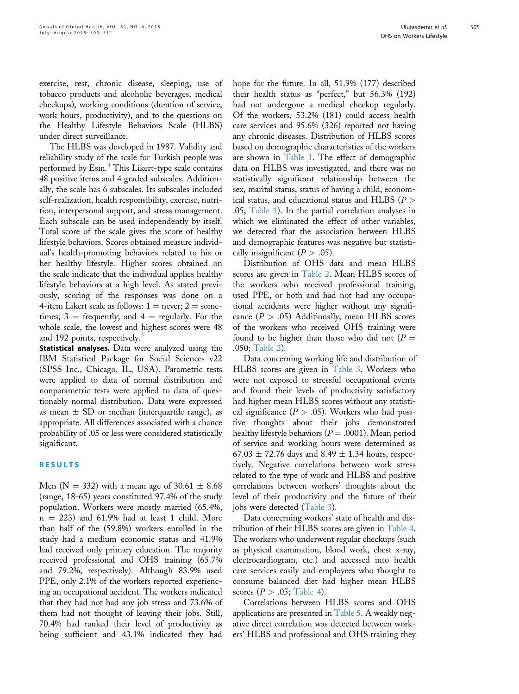exercise, rest, chronic disease, sleeping, use of tobacco products and alcoholic beverages, medical checkups), working conditions (duration of service, work hours, productivity), and to the questions on the Healthy Lifestyle Behaviors Scale (HLBS) under direct surveillance.

The HLBS was developed in 1987. Validity and reliability study of the scale for Turkish people was performed by Esin.<sup>[4](#page-7-0)</sup> This Likert-type scale contains 48 positive items and 4 graded subscales. Additionally, the scale has 6 subscales. Its subscales included self-realization, health responsibility, exercise, nutrition, interpersonal support, and stress management. Each subscale can be used independently by itself. Total score of the scale gives the score of healthy lifestyle behaviors. Scores obtained measure individual's health-promoting behaviors related to his or her healthy lifestyle. Higher scores obtained on the scale indicate that the individual applies healthy lifestyle behaviors at a high level. As stated previously, scoring of the responses was done on a 4-item Likert scale as follows:  $1 =$  never;  $2 =$  sometimes;  $3 =$  frequently; and  $4 =$  regularly. For the whole scale, the lowest and highest scores were 48 and 192 points, respectively.<sup>[3](#page-7-0)</sup>

Statistical analyses. Data were analyzed using the IBM Statistical Package for Social Sciences v22 (SPSS Inc., Chicago, IL, USA). Parametric tests were applied to data of normal distribution and nonparametric tests were applied to data of questionably normal distribution. Data were expressed as mean  $\pm$  SD or median (interquartile range), as appropriate. All differences associated with a chance probability of .05 or less were considered statistically significant.

# RESULTS

Men (N = 332) with a mean age of  $30.61 \pm 8.68$ (range, 18-65) years constituted 97.4% of the study population. Workers were mostly married (65.4%,  $n = 223$ ) and 61.9% had at least 1 child. More than half of the (59.8%) workers enrolled in the study had a medium economic status and 41.9% had received only primary education. The majority received professional and OHS training (65.7% and 79.2%, respectively). Although 83.9% used PPE, only 2.1% of the workers reported experiencing an occupational accident. The workers indicated that they had not had any job stress and 73.6% of them had not thought of leaving their jobs. Still, 70.4% had ranked their level of productivity as being sufficient and 43.1% indicated they had

hope for the future. In all, 51.9% (177) described their health status as "perfect," but 56.3% (192) had not undergone a medical checkup regularly. Of the workers, 53.2% (181) could access health care services and 95.6% (326) reported not having any chronic diseases. Distribution of HLBS scores based on demographic characteristics of the workers are shown in [Table 1](#page-3-0). The effect of demographic data on HLBS was investigated, and there was no statistically significant relationship between the sex, marital status, status of having a child, economical status, and educational status and HLBS ( $P >$ .05; [Table 1\)](#page-3-0). In the partial correlation analyses in which we eliminated the effect of other variables, we detected that the association between HLBS and demographic features was negative but statistically insignificant ( $P > .05$ ).

Distribution of OHS data and mean HLBS scores are given in [Table 2](#page-3-0). Mean HLBS scores of the workers who received professional training, used PPE, or both and had not had any occupational accidents were higher without any significance  $(P > .05)$  Additionally, mean HLBS scores of the workers who received OHS training were found to be higher than those who did not  $(P =$ .050; [Table 2\)](#page-3-0).

Data concerning working life and distribution of HLBS scores are given in [Table 3](#page-4-0). Workers who were not exposed to stressful occupational events and found their levels of productivity satisfactory had higher mean HLBS scores without any statistical significance ( $P > .05$ ). Workers who had positive thoughts about their jobs demonstrated healthy lifestyle behaviors ( $P = .0001$ ). Mean period of service and working hours were determined as  $67.03 \pm 72.76$  days and  $8.49 \pm 1.34$  hours, respectively. Negative correlations between work stress related to the type of work and HLBS and positive correlations between workers' thoughts about the level of their productivity and the future of their jobs were detected [\(Table 3](#page-4-0)).

Data concerning workers' state of health and distribution of their HLBS scores are given in [Table 4](#page-5-0). The workers who underwent regular checkups (such as physical examination, blood work, chest x-ray, electrocardiogram, etc.) and accessed into health care services easily and employees who thought to consume balanced diet had higher mean HLBS scores ( $P > .05$ ; [Table 4](#page-5-0)).

Correlations between HLBS scores and OHS applications are presented in [Table 5.](#page-6-0) A weakly negative direct correlation was detected between workers' HLBS and professional and OHS training they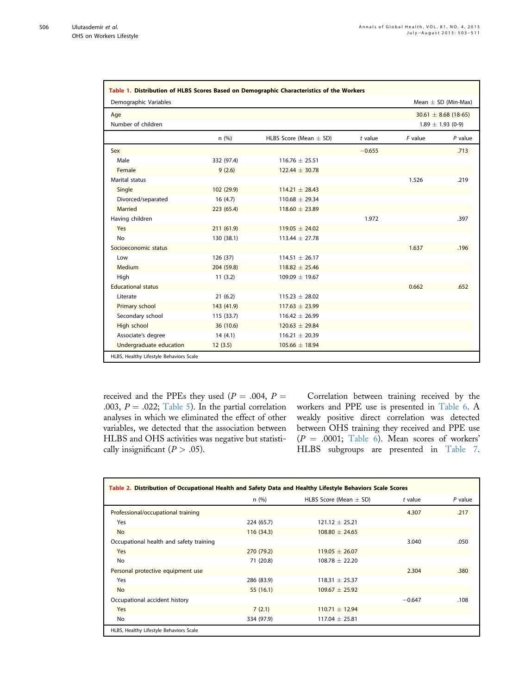<span id="page-3-0"></span>

| Demographic Variables     |            |                            |           |           | Mean $\pm$ SD (Min-Max)  |
|---------------------------|------------|----------------------------|-----------|-----------|--------------------------|
| Age                       |            |                            |           |           | $30.61 \pm 8.68$ (18-65) |
| Number of children        |            |                            |           |           | $1.89 \pm 1.93$ (0-9)    |
|                           | n(%)       | HLBS Score (Mean $\pm$ SD) | $t$ value | $F$ value | $P$ value                |
| <b>Sex</b>                |            |                            | $-0.655$  |           | .713                     |
| Male                      | 332 (97.4) | $116.76 \pm 25.51$         |           |           |                          |
| Female                    | 9(2.6)     | $122.44 \pm 30.78$         |           |           |                          |
| Marital status            |            |                            |           | 1.526     | .219                     |
| Single                    | 102 (29.9) | $114.21 + 28.43$           |           |           |                          |
| Divorced/separated        | 16(4.7)    | $110.68 \pm 29.34$         |           |           |                          |
| Married                   | 223 (65.4) | $118.60 \pm 23.89$         |           |           |                          |
| Having children           |            |                            | 1.972     |           | .397                     |
| Yes                       | 211(61.9)  | $119.05 + 24.02$           |           |           |                          |
| No                        | 130 (38.1) | $113.44 \pm 27.78$         |           |           |                          |
| Socioeconomic status      |            |                            |           | 1.637     | .196                     |
| Low                       | 126(37)    | $114.51 + 26.17$           |           |           |                          |
| Medium                    | 204 (59.8) | $118.82 \pm 25.46$         |           |           |                          |
| High                      | 11(3.2)    | $109.09 \pm 19.67$         |           |           |                          |
| <b>Educational status</b> |            |                            |           | 0.662     | .652                     |
| Literate                  | 21(6.2)    | $115.23 \pm 28.02$         |           |           |                          |
| Primary school            | 143 (41.9) | $117.63 + 23.99$           |           |           |                          |
| Secondary school          | 115(33.7)  | $116.42 \pm 26.99$         |           |           |                          |
| High school               | 36 (10.6)  | $120.63 \pm 29.84$         |           |           |                          |
| Associate's degree        | 14(4.1)    | $116.21 \pm 20.39$         |           |           |                          |
| Undergraduate education   | 12(3.5)    | $105.66 \pm 18.94$         |           |           |                          |

received and the PPEs they used ( $P = .004$ ,  $P =$ .003,  $P = .022$ ; [Table 5\)](#page-6-0). In the partial correlation analyses in which we eliminated the effect of other variables, we detected that the association between HLBS and OHS activities was negative but statistically insignificant ( $P > .05$ ).

Correlation between training received by the workers and PPE use is presented in [Table 6.](#page-6-0) A weakly positive direct correlation was detected between OHS training they received and PPE use  $(P = .0001;$  [Table 6\)](#page-6-0). Mean scores of workers' HLBS subgroups are presented in [Table 7](#page-6-0).

| Table 2. Distribution of Occupational Health and Safety Data and Healthy Lifestyle Behaviors Scale Scores |            |                            |          |           |  |
|-----------------------------------------------------------------------------------------------------------|------------|----------------------------|----------|-----------|--|
|                                                                                                           | n(%)       | HLBS Score (Mean $\pm$ SD) | t value  | $P$ value |  |
| Professional/occupational training                                                                        |            |                            | 4.307    | .217      |  |
| Yes                                                                                                       | 224 (65.7) | $121.12 + 25.21$           |          |           |  |
| No.                                                                                                       | 116(34.3)  | $108.80 \pm 24.65$         |          |           |  |
| Occupational health and safety training                                                                   |            |                            | 3.040    | .050      |  |
| Yes                                                                                                       | 270 (79.2) | $119.05 + 26.07$           |          |           |  |
| No                                                                                                        | 71 (20.8)  | $108.78 + 22.20$           |          |           |  |
| Personal protective equipment use                                                                         |            |                            | 2.304    | .380      |  |
| Yes                                                                                                       | 286 (83.9) | $118.31 + 25.37$           |          |           |  |
| <b>No</b>                                                                                                 | 55(16.1)   | $109.67 \pm 25.92$         |          |           |  |
| Occupational accident history                                                                             |            |                            | $-0.647$ | .108      |  |
| Yes                                                                                                       | 7(2.1)     | $110.71 + 12.94$           |          |           |  |
| No                                                                                                        | 334 (97.9) | $117.04 \pm 25.81$         |          |           |  |
| HLBS, Healthy Lifestyle Behaviors Scale                                                                   |            |                            |          |           |  |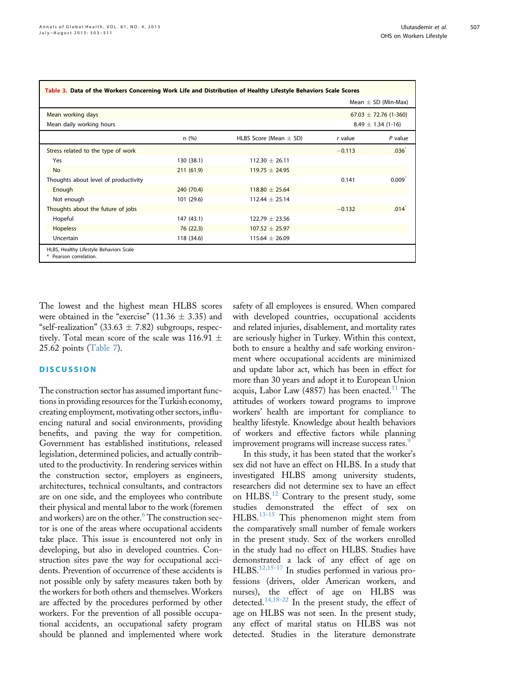<span id="page-4-0"></span>

| Table 3. Data of the Workers Concerning Work Life and Distribution of Healthy Lifestyle Behaviors Scale Scores |            |                            |          |                           |
|----------------------------------------------------------------------------------------------------------------|------------|----------------------------|----------|---------------------------|
|                                                                                                                |            |                            |          | Mean $\pm$ SD (Min-Max)   |
| Mean working days                                                                                              |            |                            |          | $67.03 \pm 72.76$ (1-360) |
| Mean daily working hours                                                                                       |            |                            |          | $8.49 \pm 1.34$ (1-16)    |
|                                                                                                                | n(%)       | HLBS Score (Mean $\pm$ SD) | r value  | $P$ value                 |
| Stress related to the type of work                                                                             |            |                            | $-0.113$ | .036 <sup>7</sup>         |
| Yes                                                                                                            | 130 (38.1) | $112.30 + 26.11$           |          |                           |
| <b>No</b>                                                                                                      | 211 (61.9) | $119.75 \pm 24.95$         |          |                           |
| Thoughts about level of productivity                                                                           |            |                            | 0.141    | 0.009                     |
| Enough                                                                                                         | 240 (70.4) | $118.80 + 25.64$           |          |                           |
| Not enough                                                                                                     | 101 (29.6) | $112.44 \pm 25.14$         |          |                           |
| Thoughts about the future of jobs                                                                              |            |                            | $-0.132$ | $.014$ <sup>*</sup>       |
| Hopeful                                                                                                        | 147 (43.1) | $122.79 + 23.56$           |          |                           |
| Hopeless                                                                                                       | 76 (22.3)  | $107.52 + 25.97$           |          |                           |
| Uncertain                                                                                                      | 118 (34.6) | $115.64 \pm 26.09$         |          |                           |
| HLBS, Healthy Lifestyle Behaviors Scale<br>Pearson correlation.<br>₩                                           |            |                            |          |                           |

The lowest and the highest mean HLBS scores were obtained in the "exercise"  $(11.36 \pm 3.35)$  and "self-realization" (33.63  $\pm$  7.82) subgroups, respectively. Total mean score of the scale was 116.91  $\pm$ 25.62 points [\(Table 7](#page-6-0)).

# **DISCUSSION**

The construction sector has assumed important functions in providing resources for the Turkish economy, creating employment, motivating other sectors, influencing natural and social environments, providing benefits, and paving the way for competition. Government has established institutions, released legislation, determined policies, and actually contributed to the productivity. In rendering services within the construction sector, employers as engineers, architectures, technical consultants, and contractors are on one side, and the employees who contribute their physical and mental labor to the work (foremen and workers) are on the other.<sup>[6](#page-7-0)</sup> The construction sector is one of the areas where occupational accidents take place. This issue is encountered not only in developing, but also in developed countries. Construction sites pave the way for occupational accidents. Prevention of occurrence of these accidents is not possible only by safety measures taken both by the workers for both others and themselves. Workers are affected by the procedures performed by other workers. For the prevention of all possible occupational accidents, an occupational safety program should be planned and implemented where work safety of all employees is ensured. When compared with developed countries, occupational accidents and related injuries, disablement, and mortality rates are seriously higher in Turkey. Within this context, both to ensure a healthy and safe working environment where occupational accidents are minimized and update labor act, which has been in effect for more than 30 years and adopt it to European Union acquis, Labor Law (4857) has been enacted.<sup>[11](#page-7-0)</sup> The attitudes of workers toward programs to improve workers' health are important for compliance to healthy lifestyle. Knowledge about health behaviors of workers and effective factors while planning improvement programs will increase success rates.

In this study, it has been stated that the worker's sex did not have an effect on HLBS. In a study that investigated HLBS among university students, researchers did not determine sex to have an effect on HLBS.<sup>[12](#page-7-0)</sup> Contrary to the present study, some studies demonstrated the effect of sex on HLBS.<sup>[13-15](#page-7-0)</sup> This phenomenon might stem from the comparatively small number of female workers in the present study. Sex of the workers enrolled in the study had no effect on HLBS. Studies have demonstrated a lack of any effect of age on HLBS.[12,15-17](#page-7-0) In studies performed in various professions (drivers, older American workers, and nurses), the effect of age on HLBS was detected.<sup>[14,18-22](#page-8-0)</sup> In the present study, the effect of age on HLBS was not seen. In the present study, any effect of marital status on HLBS was not detected. Studies in the literature demonstrate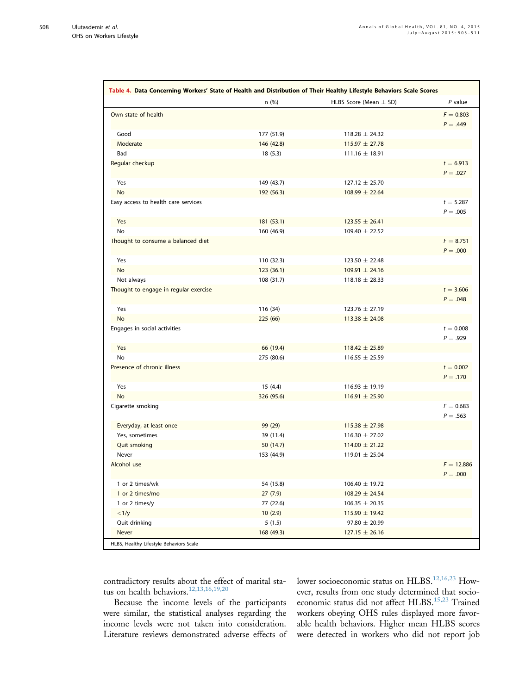<span id="page-5-0"></span>

| Table 4. Data Concerning Workers' State of Health and Distribution of Their Healthy Lifestyle Behaviors Scale Scores |            |                                          |              |  |
|----------------------------------------------------------------------------------------------------------------------|------------|------------------------------------------|--------------|--|
|                                                                                                                      | n(%)       | HLBS Score (Mean $\pm$ SD)               | $P$ value    |  |
| Own state of health                                                                                                  |            |                                          | $F = 0.803$  |  |
|                                                                                                                      |            |                                          | $P = .449$   |  |
| Good                                                                                                                 | 177 (51.9) | $118.28 \pm 24.32$                       |              |  |
| Moderate                                                                                                             | 146 (42.8) | $115.97 \pm 27.78$                       |              |  |
| Bad                                                                                                                  | 18(5.3)    | $111.16 \pm 18.91$                       |              |  |
| Regular checkup                                                                                                      |            |                                          | $t = 6.913$  |  |
|                                                                                                                      |            |                                          | $P = .027$   |  |
| Yes                                                                                                                  | 149 (43.7) | $127.12 \pm 25.70$<br>$108.99 \pm 22.64$ |              |  |
| No<br>Easy access to health care services                                                                            | 192 (56.3) |                                          | $t = 5.287$  |  |
|                                                                                                                      |            |                                          | $P = .005$   |  |
| Yes                                                                                                                  | 181 (53.1) | $123.55 \pm 26.41$                       |              |  |
| No                                                                                                                   | 160 (46.9) | $109.40 \pm 22.52$                       |              |  |
| Thought to consume a balanced diet                                                                                   |            |                                          | $F = 8.751$  |  |
|                                                                                                                      |            |                                          | $P = .000$   |  |
| Yes                                                                                                                  | 110 (32.3) | $123.50 \pm 22.48$                       |              |  |
| No                                                                                                                   | 123(36.1)  | $109.91 \pm 24.16$                       |              |  |
| Not always                                                                                                           | 108 (31.7) | $118.18 \pm 28.33$                       |              |  |
| Thought to engage in regular exercise                                                                                |            |                                          | $t = 3.606$  |  |
|                                                                                                                      |            |                                          | $P = .048$   |  |
| Yes                                                                                                                  | 116 (34)   | $123.76 \pm 27.19$                       |              |  |
| No                                                                                                                   | 225 (66)   | $113.38 \pm 24.08$                       |              |  |
| Engages in social activities                                                                                         |            |                                          | $t = 0.008$  |  |
|                                                                                                                      |            |                                          | $P = .929$   |  |
| Yes                                                                                                                  | 66 (19.4)  | $118.42 \pm 25.89$                       |              |  |
| No                                                                                                                   | 275 (80.6) | $116.55 \pm 25.59$                       |              |  |
| Presence of chronic illness                                                                                          |            |                                          | $t = 0.002$  |  |
|                                                                                                                      |            |                                          | $P = .170$   |  |
| Yes                                                                                                                  | 15 (4.4)   | $116.93 \pm 19.19$                       |              |  |
| No                                                                                                                   | 326 (95.6) | $116.91 \pm 25.90$                       |              |  |
| Cigarette smoking                                                                                                    |            |                                          | $F = 0.683$  |  |
| Everyday, at least once                                                                                              | 99 (29)    | $115.38 \pm 27.98$                       | $P = .563$   |  |
| Yes, sometimes                                                                                                       | 39 (11.4)  | $116.30 \pm 27.02$                       |              |  |
| Quit smoking                                                                                                         | 50 (14.7)  | $114.00 \pm 21.22$                       |              |  |
| Never                                                                                                                | 153 (44.9) | $119.01 \pm 25.04$                       |              |  |
| Alcohol use                                                                                                          |            |                                          | $F = 12.886$ |  |
|                                                                                                                      |            |                                          | $P = .000$   |  |
| 1 or 2 times/wk                                                                                                      | 54 (15.8)  | $106.40 \pm 19.72$                       |              |  |
| 1 or 2 times/mo                                                                                                      | 27(7.9)    | $108.29 \pm 24.54$                       |              |  |
| 1 or 2 times/y                                                                                                       | 77 (22.6)  | $106.35 \pm 20.35$                       |              |  |
| <1/y                                                                                                                 | 10(2.9)    | $115.90 \pm 19.42$                       |              |  |
| Quit drinking                                                                                                        | 5(1.5)     | $97.80 \pm 20.99$                        |              |  |
| Never                                                                                                                | 168 (49.3) | $127.15 \pm 26.16$                       |              |  |
| HLBS, Healthy Lifestyle Behaviors Scale                                                                              |            |                                          |              |  |

contradictory results about the effect of marital sta-tus on health behaviors.<sup>[12,13,16,19,20](#page-7-0)</sup>

Because the income levels of the participants were similar, the statistical analyses regarding the income levels were not taken into consideration. Literature reviews demonstrated adverse effects of lower socioeconomic status on HLBS.<sup>[12,16,23](#page-7-0)</sup> However, results from one study determined that socio-economic status did not affect HLBS.<sup>[15,23](#page-8-0)</sup> Trained workers obeying OHS rules displayed more favorable health behaviors. Higher mean HLBS scores were detected in workers who did not report job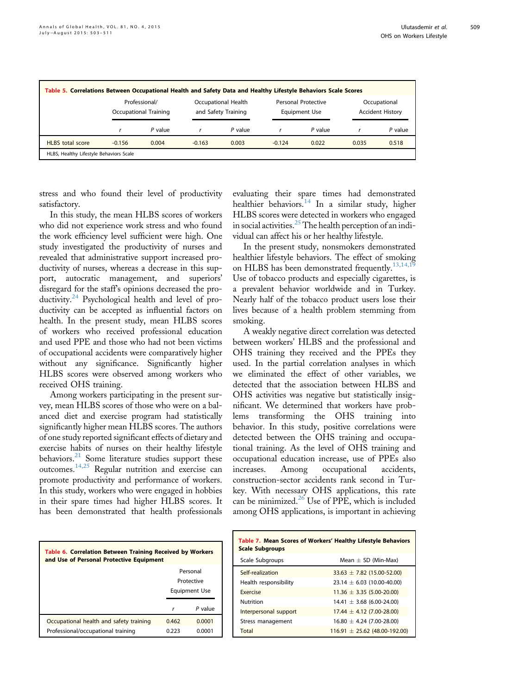<span id="page-6-0"></span>

| Table 5. Correlations Between Occupational Health and Safety Data and Healthy Lifestyle Behaviors Scale Scores |          |                                               |          |                                            |          |                                      |       |                                         |
|----------------------------------------------------------------------------------------------------------------|----------|-----------------------------------------------|----------|--------------------------------------------|----------|--------------------------------------|-------|-----------------------------------------|
|                                                                                                                |          | Professional/<br><b>Occupational Training</b> |          | Occupational Health<br>and Safety Training |          | Personal Protective<br>Equipment Use |       | Occupational<br><b>Accident History</b> |
|                                                                                                                |          | P value                                       |          | P value                                    |          | P value                              |       | P value                                 |
| <b>HLBS</b> total score                                                                                        | $-0.156$ | 0.004                                         | $-0.163$ | 0.003                                      | $-0.124$ | 0.022                                | 0.035 | 0.518                                   |
| HLBS, Healthy Lifestyle Behaviors Scale                                                                        |          |                                               |          |                                            |          |                                      |       |                                         |

stress and who found their level of productivity satisfactory.

In this study, the mean HLBS scores of workers who did not experience work stress and who found the work efficiency level sufficient were high. One study investigated the productivity of nurses and revealed that administrative support increased productivity of nurses, whereas a decrease in this support, autocratic management, and superiors' disregard for the staff's opinions decreased the pro-ductivity.<sup>[24](#page-8-0)</sup> Psychological health and level of productivity can be accepted as influential factors on health. In the present study, mean HLBS scores of workers who received professional education and used PPE and those who had not been victims of occupational accidents were comparatively higher without any significance. Significantly higher HLBS scores were observed among workers who received OHS training.

Among workers participating in the present survey, mean HLBS scores of those who were on a balanced diet and exercise program had statistically significantly higher mean HLBS scores. The authors of one study reported significant effects of dietary and exercise habits of nurses on their healthy lifestyle behaviors.<sup>[21](#page-8-0)</sup> Some literature studies support these outcomes[.14,25](#page-8-0) Regular nutrition and exercise can promote productivity and performance of workers. In this study, workers who were engaged in hobbies in their spare times had higher HLBS scores. It has been demonstrated that health professionals

evaluating their spare times had demonstrated healthier behaviors.<sup>[14](#page-8-0)</sup> In a similar study, higher HLBS scores were detected in workers who engaged in social activities.<sup>25</sup> The health perception of an individual can affect his or her healthy lifestyle.

In the present study, nonsmokers demonstrated healthier lifestyle behaviors. The effect of smoking on HLBS has been demonstrated frequently.<sup>13,14,1</sup> Use of tobacco products and especially cigarettes, is a prevalent behavior worldwide and in Turkey. Nearly half of the tobacco product users lose their lives because of a health problem stemming from smoking.

A weakly negative direct correlation was detected between workers' HLBS and the professional and OHS training they received and the PPEs they used. In the partial correlation analyses in which we eliminated the effect of other variables, we detected that the association between HLBS and OHS activities was negative but statistically insignificant. We determined that workers have problems transforming the OHS training into behavior. In this study, positive correlations were detected between the OHS training and occupational training. As the level of OHS training and occupational education increase, use of PPEs also increases. Among occupational accidents, construction-sector accidents rank second in Turkey. With necessary OHS applications, this rate can be minimized. $26$  Use of PPE, which is included among OHS applications, is important in achieving

| Table 6. Correlation Between Training Received by Workers<br>and Use of Personal Protective Equipment |       |                                                |  |  |
|-------------------------------------------------------------------------------------------------------|-------|------------------------------------------------|--|--|
|                                                                                                       |       | Personal<br>Protective<br><b>Equipment Use</b> |  |  |
|                                                                                                       |       | P value                                        |  |  |
| Occupational health and safety training                                                               | 0.462 | 0.0001                                         |  |  |
| Professional/occupational training                                                                    | በ 223 | 0.000°                                         |  |  |

| Table 7. Mean Scores of Workers' Healthy Lifestyle Behaviors<br><b>Scale Subgroups</b> |                                   |  |  |  |
|----------------------------------------------------------------------------------------|-----------------------------------|--|--|--|
| Scale Subgroups                                                                        | Mean $\pm$ SD (Min-Max)           |  |  |  |
| Self-realization                                                                       | $33.63 \pm 7.82$ (15.00-52.00)    |  |  |  |
| Health responsibility                                                                  | $23.14 \pm 6.03$ (10.00-40.00)    |  |  |  |
| <b>Exercise</b>                                                                        | $11.36 \pm 3.35$ (5.00-20.00)     |  |  |  |
| Nutrition                                                                              | $14.41 \pm 3.68$ (6.00-24.00)     |  |  |  |
| Interpersonal support                                                                  | $17.44 \pm 4.12$ (7.00-28.00)     |  |  |  |
| Stress management                                                                      | $16.80 \pm 4.24$ (7.00-28.00)     |  |  |  |
| Total                                                                                  | $116.91 \pm 25.62$ (48.00-192.00) |  |  |  |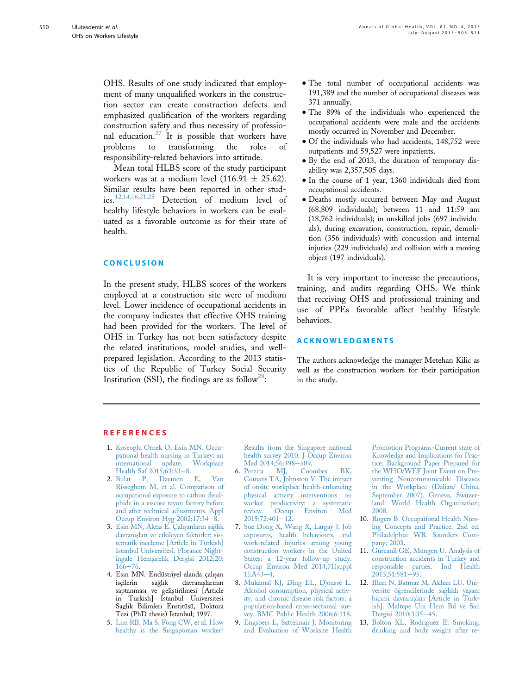<span id="page-7-0"></span>OHS. Results of one study indicated that employment of many unqualified workers in the construction sector can create construction defects and emphasized qualification of the workers regarding construction safety and thus necessity of professio-nal education.<sup>[27](#page-8-0)</sup> It is possible that workers have problems to transforming the roles of responsibility-related behaviors into attitude.

Mean total HLBS score of the study participant workers was at a medium level (116.91  $\pm$  25.62). Similar results have been reported in other stud-<br>ies.<sup>12,14,16,21,25</sup> Detection of medium level of Detection of medium level of healthy lifestyle behaviors in workers can be evaluated as a favorable outcome as for their state of health.

#### **CONCLUSION**

In the present study, HLBS scores of the workers employed at a construction site were of medium level. Lower incidence of occupational accidents in the company indicates that effective OHS training had been provided for the workers. The level of OHS in Turkey has not been satisfactory despite the related institutions, model studies, and wellprepared legislation. According to the 2013 statistics of the Republic of Turkey Social Security Institution (SSI), the findings are as follow<sup>[28](#page-8-0)</sup>:

- The total number of occupational accidents was 191,389 and the number of occupational diseases was 371 annually.
- The 89% of the individuals who experienced the occupational accidents were male and the accidents mostly occurred in November and December.
- Of the individuals who had accidents, 148,752 were outpatients and 59,527 were inpatients.
- By the end of 2013, the duration of temporary disability was 2,357,505 days.
- In the course of 1 year, 1360 individuals died from occupational accidents.
- <sup>d</sup> Deaths mostly occurred between May and August (68,809 individuals); between 11 and 11:59 am (18,762 individuals); in unskilled jobs (697 individuals), during excavation, construction, repair, demolition (356 individuals) with concussion and internal injuries (229 individuals) and collision with a moving object (197 individuals).

It is very important to increase the precautions, training, and audits regarding OHS. We think that receiving OHS and professional training and use of PPEs favorable affect healthy lifestyle behaviors.

# ACKNOWLEDGMENTS

The authors acknowledge the manager Metehan Kilic as well as the construction workers for their participation in the study.

# **REFERENCES**

- 1. [Koseoglu Ornek O, Esin MN. Occu](http://refhub.elsevier.com/S2214-9996(15)01234-5/sref1)[pational health nursing in Turkey: an](http://refhub.elsevier.com/S2214-9996(15)01234-5/sref1) [international update. Workplace](http://refhub.elsevier.com/S2214-9996(15)01234-5/sref1) [Health Saf 2015;63:33](http://refhub.elsevier.com/S2214-9996(15)01234-5/sref1)-[8.](http://refhub.elsevier.com/S2214-9996(15)01234-5/sref1)
- 2. [Bulat P, Daemen E, Van](http://refhub.elsevier.com/S2214-9996(15)01234-5/sref2) [Risseghem M, et al. Comparison of](http://refhub.elsevier.com/S2214-9996(15)01234-5/sref2) [occupational exposure to carbon disul](http://refhub.elsevier.com/S2214-9996(15)01234-5/sref2)[phide in a viscose rayon factory before](http://refhub.elsevier.com/S2214-9996(15)01234-5/sref2) [and after technical adjustments. Appl](http://refhub.elsevier.com/S2214-9996(15)01234-5/sref2) Occup Environ Hyg  $2002;17:34-\overline{8}$ .
- 3. [Esin MN, Aktas E. Çal](http://refhub.elsevier.com/S2214-9996(15)01234-5/sref3)ış[anlar](http://refhub.elsevier.com/S2214-9996(15)01234-5/sref3)ı[n sa](http://refhub.elsevier.com/S2214-9996(15)01234-5/sref3)ğlı[k](http://refhub.elsevier.com/S2214-9996(15)01234-5/sref3) [davran](http://refhub.elsevier.com/S2214-9996(15)01234-5/sref3)ışları [ve etkileyen faktörler: sis](http://refhub.elsevier.com/S2214-9996(15)01234-5/sref3)[tematik inceleme \[Article in Turkish\]](http://refhub.elsevier.com/S2214-9996(15)01234-5/sref3) [Istanbul Universitesi. Florance Night](http://refhub.elsevier.com/S2214-9996(15)01234-5/sref3)ingale Hemş[irelik Dergisi 2012;20:](http://refhub.elsevier.com/S2214-9996(15)01234-5/sref3)  $166 - 76.$  $166 - 76.$  $166 - 76.$  $166 - 76.$
- 4. Esin MN. Endüstriyel alanda çalışan isçilerin sağlık davranışlarının isçilerin sağlık davranışlarının saptanması ve geliştirilmesi [Article in Turkish] Istanbul Universitesi Saglik Bilimleri Enstitüsü, Doktora Tezi (PhD thesis) Istanbul; 1997.
- 5. [Lim RB, Ma S, Fong CW, et al. How](http://refhub.elsevier.com/S2214-9996(15)01234-5/sref5) [healthy is the Singaporean worker?](http://refhub.elsevier.com/S2214-9996(15)01234-5/sref5)

[Results from the Singapore national](http://refhub.elsevier.com/S2214-9996(15)01234-5/sref5) [health survey 2010. J Occup Environ](http://refhub.elsevier.com/S2214-9996(15)01234-5/sref5) [Med 2014;56:498](http://refhub.elsevier.com/S2214-9996(15)01234-5/sref5)-[509](http://refhub.elsevier.com/S2214-9996(15)01234-5/sref5).<br>6. Pereira MJ, Coo

- MJ, Coombes BK, [Comans TA, Johnston V. The impact](http://refhub.elsevier.com/S2214-9996(15)01234-5/sref6) [of onsite workplace health-enhancing](http://refhub.elsevier.com/S2214-9996(15)01234-5/sref6) [physical activity interventions on](http://refhub.elsevier.com/S2214-9996(15)01234-5/sref6) [worker productivity: a systematic](http://refhub.elsevier.com/S2214-9996(15)01234-5/sref6) Environ Med  $2015;72:401-12.$  $2015;72:401-12.$  $2015;72:401-12.$
- 7. [Sue Dong X, Wang X, Largay J. Job](http://refhub.elsevier.com/S2214-9996(15)01234-5/sref7) [exposures, health behaviours, and](http://refhub.elsevier.com/S2214-9996(15)01234-5/sref7) [work-related injuries among young](http://refhub.elsevier.com/S2214-9996(15)01234-5/sref7) [construction workers in the United](http://refhub.elsevier.com/S2214-9996(15)01234-5/sref7) [States: a 12-year follow-up study.](http://refhub.elsevier.com/S2214-9996(15)01234-5/sref7) [Occup Environ Med 2014;71\(suppl](http://refhub.elsevier.com/S2214-9996(15)01234-5/sref7)  $1):A43-4.$  $1):A43-4.$  $1):A43-4.$  $1):A43-4.$
- 8. [Mukamal KJ, Ding EL, Djoussé L.](http://refhub.elsevier.com/S2214-9996(15)01234-5/sref8) [Alcohol consumption, physical activ](http://refhub.elsevier.com/S2214-9996(15)01234-5/sref8)[ity, and chronic disease risk factors: a](http://refhub.elsevier.com/S2214-9996(15)01234-5/sref8) [population-based cross-sectional sur](http://refhub.elsevier.com/S2214-9996(15)01234-5/sref8)[vey. BMC Public Health 2006;6:118](http://refhub.elsevier.com/S2214-9996(15)01234-5/sref8).
- 9. [Engsbers L, Sattelmair J. Monitoring](http://refhub.elsevier.com/S2214-9996(15)01234-5/sref9) [and Evaluation of Worksite Health](http://refhub.elsevier.com/S2214-9996(15)01234-5/sref9)

[Promotion Programs-Current state of](http://refhub.elsevier.com/S2214-9996(15)01234-5/sref9) [Knowledge and Implications for Prac](http://refhub.elsevier.com/S2214-9996(15)01234-5/sref9)[tice: Background Paper Prepared for](http://refhub.elsevier.com/S2214-9996(15)01234-5/sref9) [the WHO/WEF Joint Event on Pre](http://refhub.elsevier.com/S2214-9996(15)01234-5/sref9)[venting Noncommunicable Diseases](http://refhub.elsevier.com/S2214-9996(15)01234-5/sref9) [in the Workplace \(Dalian/ China,](http://refhub.elsevier.com/S2214-9996(15)01234-5/sref9) [September 2007\). Geneva, Switzer](http://refhub.elsevier.com/S2214-9996(15)01234-5/sref9)[land: World Health Organization;](http://refhub.elsevier.com/S2214-9996(15)01234-5/sref9) [2008](http://refhub.elsevier.com/S2214-9996(15)01234-5/sref9).

- 10. [Rogers B. Occupational Health Nurs](http://refhub.elsevier.com/S2214-9996(15)01234-5/sref10)[ing Concepts and Practice. 2nd ed.](http://refhub.elsevier.com/S2214-9996(15)01234-5/sref10) [Philadelphia: WB. Saunders Com](http://refhub.elsevier.com/S2214-9996(15)01234-5/sref10)[pany; 2003.](http://refhub.elsevier.com/S2214-9996(15)01234-5/sref10)
- 11. [Gürcanli GE, Müngen U. Analysis of](http://refhub.elsevier.com/S2214-9996(15)01234-5/sref11) [construction accidents in Turkey and](http://refhub.elsevier.com/S2214-9996(15)01234-5/sref11) [responsible parties. Ind Health](http://refhub.elsevier.com/S2214-9996(15)01234-5/sref11)  $20\overline{1}3;51:581-\overline{9}5.$
- 12. [Ilhan N, Batmaz M, Akhan LU. Üni](http://refhub.elsevier.com/S2214-9996(15)01234-5/sref12)[versite ö](http://refhub.elsevier.com/S2214-9996(15)01234-5/sref12)ğrenci[l](http://refhub.elsevier.com/S2214-9996(15)01234-5/sref12)erinde sağlı[kl](http://refhub.elsevier.com/S2214-9996(15)01234-5/sref12)ı yaşam [biçimi davran](http://refhub.elsevier.com/S2214-9996(15)01234-5/sref12)ışları [\[Article in Turk](http://refhub.elsevier.com/S2214-9996(15)01234-5/sref12)[ish\]. Maltepe Uni Hem Bil ve San](http://refhub.elsevier.com/S2214-9996(15)01234-5/sref12) [Dergisi 2010;3:35](http://refhub.elsevier.com/S2214-9996(15)01234-5/sref12)-[45.](http://refhub.elsevier.com/S2214-9996(15)01234-5/sref12)
- 13. [Bolton KL, Rodriguez E. Smoking,](http://refhub.elsevier.com/S2214-9996(15)01234-5/sref13) [drinking and body weight after re-](http://refhub.elsevier.com/S2214-9996(15)01234-5/sref13)